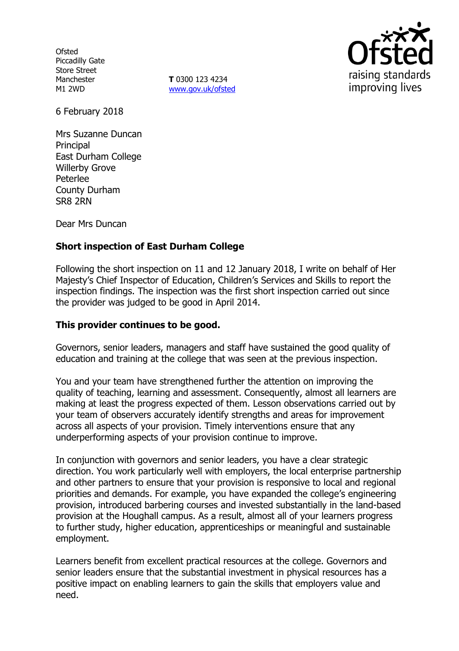**Ofsted** Piccadilly Gate Store Street Manchester M1 2WD

**T** 0300 123 4234 www.gov.uk/ofsted



6 February 2018

Mrs Suzanne Duncan **Principal** East Durham College Willerby Grove Peterlee County Durham SR8 2RN

Dear Mrs Duncan

# **Short inspection of East Durham College**

Following the short inspection on 11 and 12 January 2018, I write on behalf of Her Majesty's Chief Inspector of Education, Children's Services and Skills to report the inspection findings. The inspection was the first short inspection carried out since the provider was judged to be good in April 2014.

## **This provider continues to be good.**

Governors, senior leaders, managers and staff have sustained the good quality of education and training at the college that was seen at the previous inspection.

You and your team have strengthened further the attention on improving the quality of teaching, learning and assessment. Consequently, almost all learners are making at least the progress expected of them. Lesson observations carried out by your team of observers accurately identify strengths and areas for improvement across all aspects of your provision. Timely interventions ensure that any underperforming aspects of your provision continue to improve.

In conjunction with governors and senior leaders, you have a clear strategic direction. You work particularly well with employers, the local enterprise partnership and other partners to ensure that your provision is responsive to local and regional priorities and demands. For example, you have expanded the college's engineering provision, introduced barbering courses and invested substantially in the land-based provision at the Houghall campus. As a result, almost all of your learners progress to further study, higher education, apprenticeships or meaningful and sustainable employment.

Learners benefit from excellent practical resources at the college. Governors and senior leaders ensure that the substantial investment in physical resources has a positive impact on enabling learners to gain the skills that employers value and need.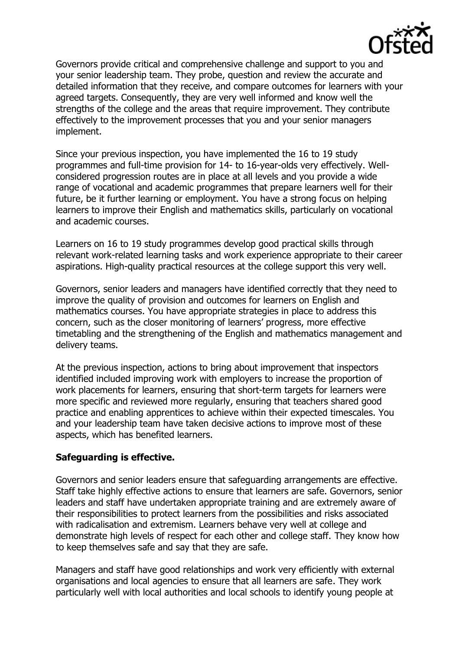

Governors provide critical and comprehensive challenge and support to you and your senior leadership team. They probe, question and review the accurate and detailed information that they receive, and compare outcomes for learners with your agreed targets. Consequently, they are very well informed and know well the strengths of the college and the areas that require improvement. They contribute effectively to the improvement processes that you and your senior managers implement.

Since your previous inspection, you have implemented the 16 to 19 study programmes and full-time provision for 14- to 16-year-olds very effectively. Wellconsidered progression routes are in place at all levels and you provide a wide range of vocational and academic programmes that prepare learners well for their future, be it further learning or employment. You have a strong focus on helping learners to improve their English and mathematics skills, particularly on vocational and academic courses.

Learners on 16 to 19 study programmes develop good practical skills through relevant work-related learning tasks and work experience appropriate to their career aspirations. High-quality practical resources at the college support this very well.

Governors, senior leaders and managers have identified correctly that they need to improve the quality of provision and outcomes for learners on English and mathematics courses. You have appropriate strategies in place to address this concern, such as the closer monitoring of learners' progress, more effective timetabling and the strengthening of the English and mathematics management and delivery teams.

At the previous inspection, actions to bring about improvement that inspectors identified included improving work with employers to increase the proportion of work placements for learners, ensuring that short-term targets for learners were more specific and reviewed more regularly, ensuring that teachers shared good practice and enabling apprentices to achieve within their expected timescales. You and your leadership team have taken decisive actions to improve most of these aspects, which has benefited learners.

## **Safeguarding is effective.**

Governors and senior leaders ensure that safeguarding arrangements are effective. Staff take highly effective actions to ensure that learners are safe. Governors, senior leaders and staff have undertaken appropriate training and are extremely aware of their responsibilities to protect learners from the possibilities and risks associated with radicalisation and extremism. Learners behave very well at college and demonstrate high levels of respect for each other and college staff. They know how to keep themselves safe and say that they are safe.

Managers and staff have good relationships and work very efficiently with external organisations and local agencies to ensure that all learners are safe. They work particularly well with local authorities and local schools to identify young people at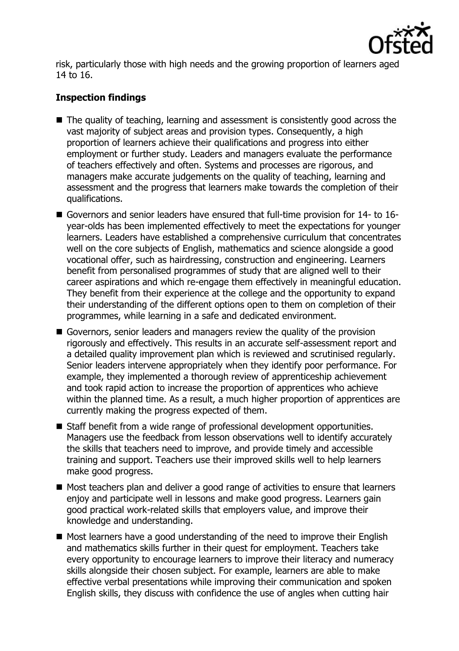

risk, particularly those with high needs and the growing proportion of learners aged 14 to 16.

# **Inspection findings**

- The quality of teaching, learning and assessment is consistently good across the vast majority of subject areas and provision types. Consequently, a high proportion of learners achieve their qualifications and progress into either employment or further study. Leaders and managers evaluate the performance of teachers effectively and often. Systems and processes are rigorous, and managers make accurate judgements on the quality of teaching, learning and assessment and the progress that learners make towards the completion of their qualifications.
- Governors and senior leaders have ensured that full-time provision for 14- to 16year-olds has been implemented effectively to meet the expectations for younger learners. Leaders have established a comprehensive curriculum that concentrates well on the core subjects of English, mathematics and science alongside a good vocational offer, such as hairdressing, construction and engineering. Learners benefit from personalised programmes of study that are aligned well to their career aspirations and which re-engage them effectively in meaningful education. They benefit from their experience at the college and the opportunity to expand their understanding of the different options open to them on completion of their programmes, while learning in a safe and dedicated environment.
- Governors, senior leaders and managers review the quality of the provision rigorously and effectively. This results in an accurate self-assessment report and a detailed quality improvement plan which is reviewed and scrutinised regularly. Senior leaders intervene appropriately when they identify poor performance. For example, they implemented a thorough review of apprenticeship achievement and took rapid action to increase the proportion of apprentices who achieve within the planned time. As a result, a much higher proportion of apprentices are currently making the progress expected of them.
- Staff benefit from a wide range of professional development opportunities. Managers use the feedback from lesson observations well to identify accurately the skills that teachers need to improve, and provide timely and accessible training and support. Teachers use their improved skills well to help learners make good progress.
- Most teachers plan and deliver a good range of activities to ensure that learners enjoy and participate well in lessons and make good progress. Learners gain good practical work-related skills that employers value, and improve their knowledge and understanding.
- Most learners have a good understanding of the need to improve their English and mathematics skills further in their quest for employment. Teachers take every opportunity to encourage learners to improve their literacy and numeracy skills alongside their chosen subject. For example, learners are able to make effective verbal presentations while improving their communication and spoken English skills, they discuss with confidence the use of angles when cutting hair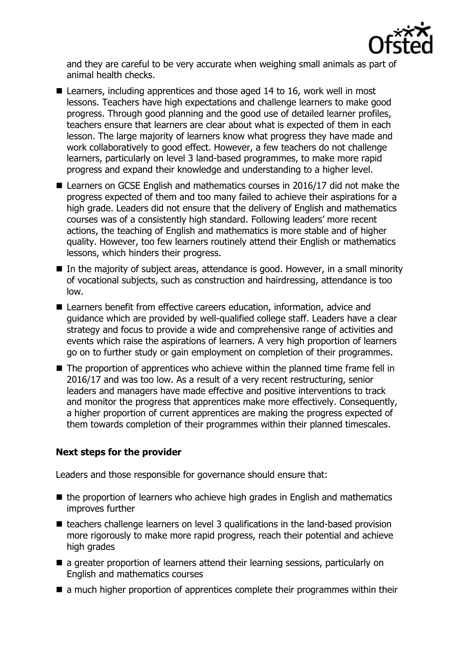

and they are careful to be very accurate when weighing small animals as part of animal health checks.

- Learners, including apprentices and those aged 14 to 16, work well in most lessons. Teachers have high expectations and challenge learners to make good progress. Through good planning and the good use of detailed learner profiles, teachers ensure that learners are clear about what is expected of them in each lesson. The large majority of learners know what progress they have made and work collaboratively to good effect. However, a few teachers do not challenge learners, particularly on level 3 land-based programmes, to make more rapid progress and expand their knowledge and understanding to a higher level.
- Learners on GCSE English and mathematics courses in 2016/17 did not make the progress expected of them and too many failed to achieve their aspirations for a high grade. Leaders did not ensure that the delivery of English and mathematics courses was of a consistently high standard. Following leaders' more recent actions, the teaching of English and mathematics is more stable and of higher quality. However, too few learners routinely attend their English or mathematics lessons, which hinders their progress.
- $\blacksquare$  In the majority of subject areas, attendance is good. However, in a small minority of vocational subjects, such as construction and hairdressing, attendance is too low.
- Learners benefit from effective careers education, information, advice and guidance which are provided by well-qualified college staff. Leaders have a clear strategy and focus to provide a wide and comprehensive range of activities and events which raise the aspirations of learners. A very high proportion of learners go on to further study or gain employment on completion of their programmes.
- The proportion of apprentices who achieve within the planned time frame fell in 2016/17 and was too low. As a result of a very recent restructuring, senior leaders and managers have made effective and positive interventions to track and monitor the progress that apprentices make more effectively. Consequently, a higher proportion of current apprentices are making the progress expected of them towards completion of their programmes within their planned timescales.

# **Next steps for the provider**

Leaders and those responsible for governance should ensure that:

- $\blacksquare$  the proportion of learners who achieve high grades in English and mathematics improves further
- teachers challenge learners on level 3 qualifications in the land-based provision more rigorously to make more rapid progress, reach their potential and achieve high grades
- a greater proportion of learners attend their learning sessions, particularly on English and mathematics courses
- $\blacksquare$  a much higher proportion of apprentices complete their programmes within their